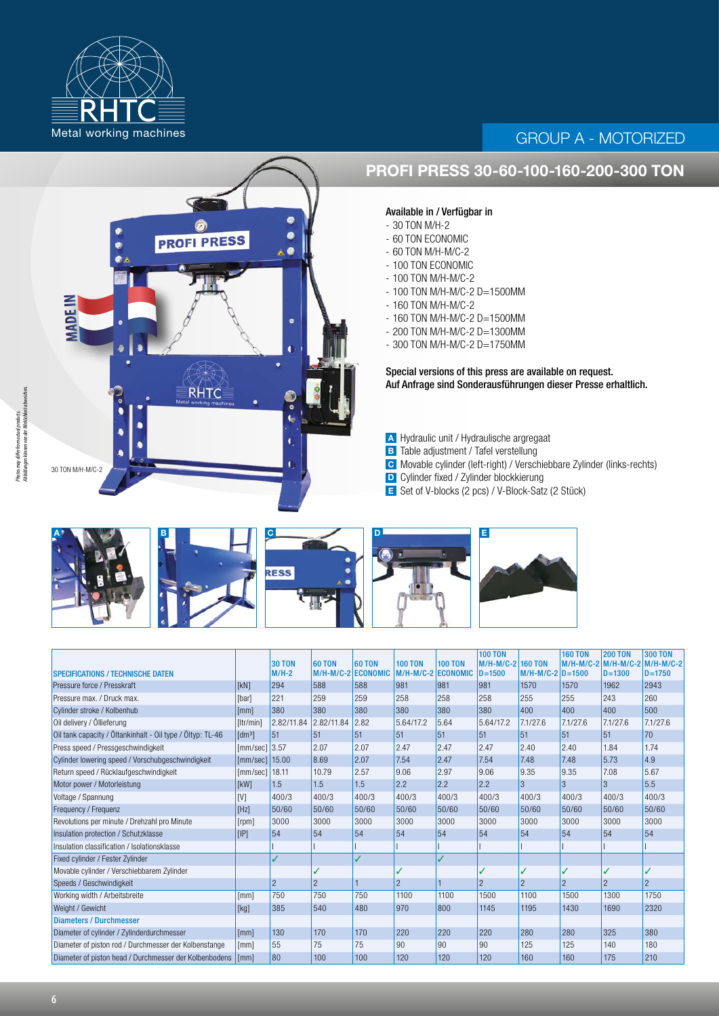

# Metal working machines Group A - MOTORIZED



# **Profi Press 30-60-100-160-200-300 ton**

### Available in / Verfügbar in

- 30 TON M/H-2
- 60 TON economic
- 60 TON M/H-M/C-2
- 100 TON economic
- 100 TON M/H-M/C-2
- 100 TON M/H-M/C-2 D=1500MM
- 160 TON M/H-M/C-2
- 160 TON M/H-M/C-2 D=1500MM
- 200 TON M/H-M/C-2 D=1300MM
- 300 TON M/H-M/C-2 D=1750MM

Special versions of this press are available on request. Auf Anfrage sind Sonderausführungen dieser Presse erhaltlich.

- **A** Hydraulic unit / Hydraulische argregaat
- **B** Table adjustment / Tafel verstellung
- **C** Movable cylinder (left-right) / Verschiebbare Zylinder (links-rechts)
- **D** Cylinder fixed / Zylinder blockkierung
- **E** Set of V-blocks (2 pcs) / V-Block-Satz (2 Stück)



|                                                            |                        | <b>30 TON</b>  | <b>60 TON</b>  | <b>60 TON</b>   | <b>100 TON</b>     | <b>100 TON</b> | <b>100 TON</b><br><b>M/H-M/C-2 160 TON</b> |                      | <b>160 TON</b>           | <b>200 TON</b><br>$M/H-M/C-2$ $M/H-M/C-2$ | <b>300 TON</b><br>$M/H-M/C-2$ |
|------------------------------------------------------------|------------------------|----------------|----------------|-----------------|--------------------|----------------|--------------------------------------------|----------------------|--------------------------|-------------------------------------------|-------------------------------|
| <b>SPECIFICATIONS / TECHNISCHE DATEN</b>                   |                        | $M/H-2$        | $M/H-M/C-2$    | <b>ECONOMIC</b> | M/H-M/C-2 ECONOMIC |                | $D = 1500$                                 | $M/H-M/C-2$ $D=1500$ |                          | $D = 1300$                                | $D = 1750$                    |
| Pressure force / Presskraft                                | [kN]                   | 294            | 588            | 588             | 981                | 981            | 981                                        | 1570                 | 1570                     | 1962                                      | 2943                          |
| Pressure max. / Druck max.                                 | [bar]                  | 221            | 259            | 259             | 258                | 258            | 258                                        | 255                  | 255                      | 243                                       | 260                           |
| Cylinder stroke / Kolbenhub                                | [mm]                   | 380            | 380            | 380             | 380                | 380            | 380                                        | 400                  | 400                      | 400                                       | 500                           |
| Oil delivery / Öllieferung                                 | [Itr/min]              | 2.82/11.84     | 2.82/11.84     | 2.82            | 5.64/17.2          | 5.64           | 5.64/17.2                                  | 7.1/27.6             | 7.1/27.6                 | 7.1/27.6                                  | 7.1/27.6                      |
| Oil tank capacity / Öltankinhalt - Oil type / Öltyp: TL-46 | fdm <sup>3</sup>       | 51             | 51             | 51              | 51                 | 51             | 51                                         | 51                   | 51                       | 51                                        | 70                            |
| Press speed / Pressgeschwindigkeit                         | $\text{mm/sec}$ ] 3.57 |                | 2.07           | 2.07            | 2.47               | 2.47           | 2.47                                       | 2.40                 | 2.40                     | 1.84                                      | 1.74                          |
| Cylinder lowering speed / Vorschubgeschwindigkeit          | $[mm/sec]$ 15.00       |                | 8.69           | 2.07            | 7.54               | 2.47           | 7.54                                       | 7.48                 | 7.48                     | 5.73                                      | 4.9                           |
| Return speed / Rücklaufgeschwindigkeit                     | $[mm/sec]$ 18.11       |                | 10.79          | 2.57            | 9.06               | 2.97           | 9.06                                       | 9.35                 | 9.35                     | 7.08                                      | 5.67                          |
| Motor power / Motorleistung                                | [kW]                   | 1.5            | 1.5            | 1.5             | 2.2                | 2.2            | 2.2                                        | $\overline{3}$       | 3                        | 3                                         | 5.5                           |
| Voltage / Spannung                                         | [V]                    | 400/3          | 400/3          | 400/3           | 400/3              | 400/3          | 400/3                                      | 400/3                | 400/3                    | 400/3                                     | 400/3                         |
| Frequency / Frequenz                                       | [Hz]                   | 50/60          | 50/60          | 50/60           | 50/60              | 50/60          | 50/60                                      | 50/60                | 50/60                    | 50/60                                     | 50/60                         |
| Revolutions per minute / Drehzahl pro Minute               | [rpm]                  | 3000           | 3000           | 3000            | 3000               | 3000           | 3000                                       | 3000                 | 3000                     | 3000                                      | 3000                          |
| Insulation protection / Schutzklasse                       | [IP]                   | 54             | 54             | 54              | 54                 | 54             | 54                                         | 54                   | 54                       | 54                                        | 54                            |
| Insulation classification / Isolationsklasse               |                        |                |                |                 |                    |                |                                            |                      |                          |                                           |                               |
| Fixed cylinder / Fester Zylinder                           |                        |                |                |                 |                    |                |                                            |                      |                          |                                           |                               |
| Movable cylinder / Verschiebbarem Zylinder                 |                        |                |                |                 | $\checkmark$       |                | $\mathcal{J}$                              | $\checkmark$         | $\checkmark$             |                                           |                               |
| Speeds / Geschwindigkeit                                   |                        | $\overline{2}$ | $\overline{2}$ |                 | $\overline{2}$     |                | $\overline{2}$                             | $\overline{c}$       | $\overline{\phantom{0}}$ | $\overline{2}$                            | 2                             |
| Working width / Arbeitsbreite                              | [mm]                   | 750            | 750            | 750             | 1100               | 1100           | 1500                                       | 1100                 | 1500                     | 1300                                      | 1750                          |
| Weight / Gewicht                                           | [kg]                   | 385            | 540            | 480             | 970                | 800            | 1145                                       | 1195                 | 1430                     | 1690                                      | 2320                          |
| <b>Diameters / Durchmesser</b>                             |                        |                |                |                 |                    |                |                                            |                      |                          |                                           |                               |
| Diameter of cylinder / Zylinderdurchmesser                 | [mm]                   | 130            | 170            | 170             | 220                | 220            | 220                                        | 280                  | 280                      | 325                                       | 380                           |
| Diameter of piston rod / Durchmesser der Kolbenstange      | [mm]                   | 55             | 75             | 75              | 90                 | 90             | 90                                         | 125                  | 125                      | 140                                       | 180                           |
| Diameter of piston head / Durchmesser der Kolbenbodens     | $\lceil$ [mm]          | 80             | 100            | 100             | 120                | 120            | 120                                        | 160                  | 160                      | 175                                       | 210                           |